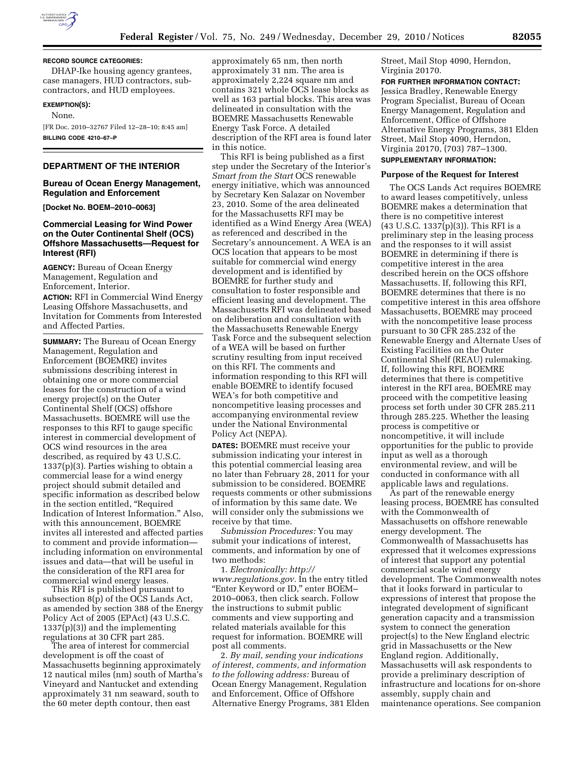

# **RECORD SOURCE CATEGORIES:**

DHAP-Ike housing agency grantees, case managers, HUD contractors, subcontractors, and HUD employees.

#### **EXEMPTION(S):**

None.

[FR Doc. 2010–32767 Filed 12–28–10; 8:45 am] **BILLING CODE 4210–67–P** 

# **DEPARTMENT OF THE INTERIOR**

# **Bureau of Ocean Energy Management, Regulation and Enforcement**

**[Docket No. BOEM–2010–0063]** 

# **Commercial Leasing for Wind Power on the Outer Continental Shelf (OCS) Offshore Massachusetts—Request for Interest (RFI)**

**AGENCY:** Bureau of Ocean Energy Management, Regulation and Enforcement, Interior.

**ACTION:** RFI in Commercial Wind Energy Leasing Offshore Massachusetts, and Invitation for Comments from Interested and Affected Parties.

**SUMMARY:** The Bureau of Ocean Energy Management, Regulation and Enforcement (BOEMRE) invites submissions describing interest in obtaining one or more commercial leases for the construction of a wind energy project(s) on the Outer Continental Shelf (OCS) offshore Massachusetts. BOEMRE will use the responses to this RFI to gauge specific interest in commercial development of OCS wind resources in the area described, as required by 43 U.S.C.  $1337(p)(3)$ . Parties wishing to obtain a commercial lease for a wind energy project should submit detailed and specific information as described below in the section entitled, ''Required Indication of Interest Information.'' Also, with this announcement, BOEMRE invites all interested and affected parties to comment and provide information including information on environmental issues and data—that will be useful in the consideration of the RFI area for commercial wind energy leases.

This RFI is published pursuant to subsection 8(p) of the OCS Lands Act, as amended by section 388 of the Energy Policy Act of 2005 (EPAct) (43 U.S.C. 1337(p)(3)) and the implementing regulations at 30 CFR part 285.

The area of interest for commercial development is off the coast of Massachusetts beginning approximately 12 nautical miles (nm) south of Martha's Vineyard and Nantucket and extending approximately 31 nm seaward, south to the 60 meter depth contour, then east

approximately 65 nm, then north approximately 31 nm. The area is approximately 2,224 square nm and contains 321 whole OCS lease blocks as well as 163 partial blocks. This area was delineated in consultation with the BOEMRE Massachusetts Renewable Energy Task Force. A detailed description of the RFI area is found later in this notice.

This RFI is being published as a first step under the Secretary of the Interior's *Smart from the Start* OCS renewable energy initiative, which was announced by Secretary Ken Salazar on November 23, 2010. Some of the area delineated for the Massachusetts RFI may be identified as a Wind Energy Area (WEA) as referenced and described in the Secretary's announcement. A WEA is an OCS location that appears to be most suitable for commercial wind energy development and is identified by BOEMRE for further study and consultation to foster responsible and efficient leasing and development. The Massachusetts RFI was delineated based on deliberation and consultation with the Massachusetts Renewable Energy Task Force and the subsequent selection of a WEA will be based on further scrutiny resulting from input received on this RFI. The comments and information responding to this RFI will enable BOEMRE to identify focused WEA's for both competitive and noncompetitive leasing processes and accompanying environmental review under the National Environmental Policy Act (NEPA).

**DATES:** BOEMRE must receive your submission indicating your interest in this potential commercial leasing area no later than February 28, 2011 for your submission to be considered. BOEMRE requests comments or other submissions of information by this same date. We will consider only the submissions we receive by that time.

*Submission Procedures:* You may submit your indications of interest, comments, and information by one of two methods:

1. *Electronically: [http://](http://www.regulations.gov) [www.regulations.gov.](http://www.regulations.gov)* In the entry titled ''Enter Keyword or ID,'' enter BOEM– 2010–0063, then click search. Follow the instructions to submit public comments and view supporting and related materials available for this request for information. BOEMRE will post all comments.

2. *By mail, sending your indications of interest, comments, and information to the following address:* Bureau of Ocean Energy Management, Regulation and Enforcement, Office of Offshore Alternative Energy Programs, 381 Elden Street, Mail Stop 4090, Herndon, Virginia 20170.

# **FOR FURTHER INFORMATION CONTACT:**

Jessica Bradley, Renewable Energy Program Specialist, Bureau of Ocean Energy Management, Regulation and Enforcement, Office of Offshore Alternative Energy Programs, 381 Elden Street, Mail Stop 4090, Herndon, Virginia 20170, (703) 787–1300. **SUPPLEMENTARY INFORMATION:** 

# **Purpose of the Request for Interest**

The OCS Lands Act requires BOEMRE to award leases competitively, unless BOEMRE makes a determination that there is no competitive interest (43 U.S.C. 1337(p)(3)). This RFI is a preliminary step in the leasing process and the responses to it will assist BOEMRE in determining if there is competitive interest in the area described herein on the OCS offshore Massachusetts. If, following this RFI, BOEMRE determines that there is no competitive interest in this area offshore Massachusetts, BOEMRE may proceed with the noncompetitive lease process pursuant to 30 CFR 285.232 of the Renewable Energy and Alternate Uses of Existing Facilities on the Outer Continental Shelf (REAU) rulemaking. If, following this RFI, BOEMRE determines that there is competitive interest in the RFI area, BOEMRE may proceed with the competitive leasing process set forth under 30 CFR 285.211 through 285.225. Whether the leasing process is competitive or noncompetitive, it will include opportunities for the public to provide input as well as a thorough environmental review, and will be conducted in conformance with all applicable laws and regulations.

As part of the renewable energy leasing process, BOEMRE has consulted with the Commonwealth of Massachusetts on offshore renewable energy development. The Commonwealth of Massachusetts has expressed that it welcomes expressions of interest that support any potential commercial scale wind energy development. The Commonwealth notes that it looks forward in particular to expressions of interest that propose the integrated development of significant generation capacity and a transmission system to connect the generation project(s) to the New England electric grid in Massachusetts or the New England region. Additionally, Massachusetts will ask respondents to provide a preliminary description of infrastructure and locations for on-shore assembly, supply chain and maintenance operations. See companion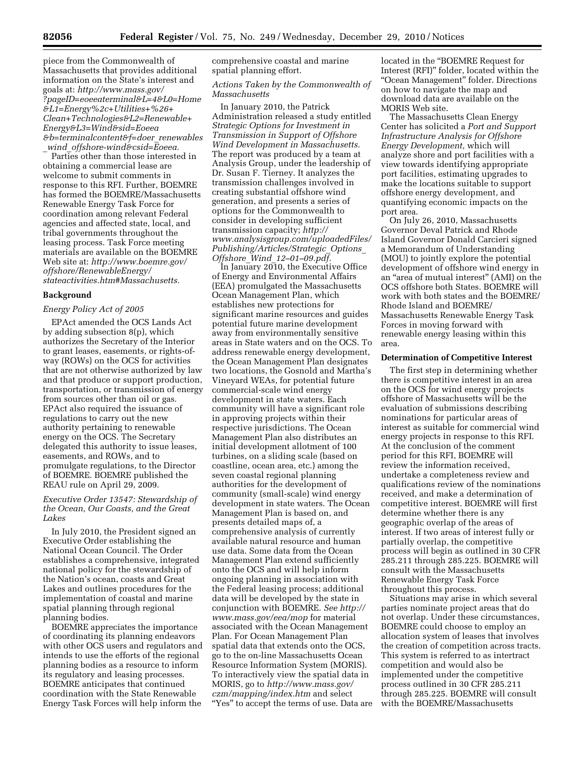piece from the Commonwealth of Massachusetts that provides additional information on the State's interest and goals at: *[http://www.mass.gov/](http://www.mass.gov/?pageID=eoeeaterminal&L=4&L0=Home&L1=Energy%2c+Utilities+%26+Clean+Technologies&L2=Renewable+Energy&L3=Wind&sid=Eoeea&b=terminalcontent&f=doer_renewables_wind_offshore-wind&csid=Eoeea) [?pageID=eoeeaterminal&L=4&L0=Home](http://www.mass.gov/?pageID=eoeeaterminal&L=4&L0=Home&L1=Energy%2c+Utilities+%26+Clean+Technologies&L2=Renewable+Energy&L3=Wind&sid=Eoeea&b=terminalcontent&f=doer_renewables_wind_offshore-wind&csid=Eoeea) [&L1=Energy%2c+Utilities+%26+](http://www.mass.gov/?pageID=eoeeaterminal&L=4&L0=Home&L1=Energy%2c+Utilities+%26+Clean+Technologies&L2=Renewable+Energy&L3=Wind&sid=Eoeea&b=terminalcontent&f=doer_renewables_wind_offshore-wind&csid=Eoeea) [Clean+Technologies&L2=Renewable+](http://www.mass.gov/?pageID=eoeeaterminal&L=4&L0=Home&L1=Energy%2c+Utilities+%26+Clean+Technologies&L2=Renewable+Energy&L3=Wind&sid=Eoeea&b=terminalcontent&f=doer_renewables_wind_offshore-wind&csid=Eoeea) [Energy&L3=Wind&sid=Eoeea](http://www.mass.gov/?pageID=eoeeaterminal&L=4&L0=Home&L1=Energy%2c+Utilities+%26+Clean+Technologies&L2=Renewable+Energy&L3=Wind&sid=Eoeea&b=terminalcontent&f=doer_renewables_wind_offshore-wind&csid=Eoeea) [&b=terminalcontent&f=doer](http://www.mass.gov/?pageID=eoeeaterminal&L=4&L0=Home&L1=Energy%2c+Utilities+%26+Clean+Technologies&L2=Renewable+Energy&L3=Wind&sid=Eoeea&b=terminalcontent&f=doer_renewables_wind_offshore-wind&csid=Eoeea)*\_*renewables* \_*wind*\_*[offshore-wind&csid=Eoeea.](http://www.mass.gov/?pageID=eoeeaterminal&L=4&L0=Home&L1=Energy%2c+Utilities+%26+Clean+Technologies&L2=Renewable+Energy&L3=Wind&sid=Eoeea&b=terminalcontent&f=doer_renewables_wind_offshore-wind&csid=Eoeea)* 

Parties other than those interested in obtaining a commercial lease are welcome to submit comments in response to this RFI. Further, BOEMRE has formed the BOEMRE/Massachusetts Renewable Energy Task Force for coordination among relevant Federal agencies and affected state, local, and tribal governments throughout the leasing process. Task Force meeting materials are available on the BOEMRE Web site at: *[http://www.boemre.gov/](http://www.boemre.gov/offshore/RenewableEnergy/stateactivities.htm#Massachusetts) [offshore/RenewableEnergy/](http://www.boemre.gov/offshore/RenewableEnergy/stateactivities.htm#Massachusetts) [stateactivities.htm#Massachusetts.](http://www.boemre.gov/offshore/RenewableEnergy/stateactivities.htm#Massachusetts)* 

#### **Background**

#### *Energy Policy Act of 2005*

EPAct amended the OCS Lands Act by adding subsection 8(p), which authorizes the Secretary of the Interior to grant leases, easements, or rights-ofway (ROWs) on the OCS for activities that are not otherwise authorized by law and that produce or support production, transportation, or transmission of energy from sources other than oil or gas. EPAct also required the issuance of regulations to carry out the new authority pertaining to renewable energy on the OCS. The Secretary delegated this authority to issue leases, easements, and ROWs, and to promulgate regulations, to the Director of BOEMRE. BOEMRE published the REAU rule on April 29, 2009.

*Executive Order 13547: Stewardship of the Ocean, Our Coasts, and the Great Lakes* 

In July 2010, the President signed an Executive Order establishing the National Ocean Council. The Order establishes a comprehensive, integrated national policy for the stewardship of the Nation's ocean, coasts and Great Lakes and outlines procedures for the implementation of coastal and marine spatial planning through regional planning bodies.

BOEMRE appreciates the importance of coordinating its planning endeavors with other OCS users and regulators and intends to use the efforts of the regional planning bodies as a resource to inform its regulatory and leasing processes. BOEMRE anticipates that continued coordination with the State Renewable Energy Task Forces will help inform the

comprehensive coastal and marine spatial planning effort.

# *Actions Taken by the Commonwealth of Massachusetts*

In January 2010, the Patrick Administration released a study entitled *Strategic Options for Investment in Transmission in Support of Offshore Wind Development in Massachusetts.*  The report was produced by a team at Analysis Group, under the leadership of Dr. Susan F. Tierney. It analyzes the transmission challenges involved in creating substantial offshore wind generation, and presents a series of options for the Commonwealth to consider in developing sufficient transmission capacity; *[http://](http://www.analysisgroup.com/uploadedFiles/Publishing/Articles/Strategic_Options_Offshore_Wind_12-01-09.pdf) [www.analysisgroup.com/uploadedFiles/](http://www.analysisgroup.com/uploadedFiles/Publishing/Articles/Strategic_Options_Offshore_Wind_12-01-09.pdf) [Publishing/Articles/Strategic](http://www.analysisgroup.com/uploadedFiles/Publishing/Articles/Strategic_Options_Offshore_Wind_12-01-09.pdf)*\_*Options*\_ *Offshore*\_*Wind*\_*[12–01–09.pdf.](http://www.analysisgroup.com/uploadedFiles/Publishing/Articles/Strategic_Options_Offshore_Wind_12-01-09.pdf)* 

In January 2010, the Executive Office of Energy and Environmental Affairs (EEA) promulgated the Massachusetts Ocean Management Plan, which establishes new protections for significant marine resources and guides potential future marine development away from environmentally sensitive areas in State waters and on the OCS. To address renewable energy development, the Ocean Management Plan designates two locations, the Gosnold and Martha's Vineyard WEAs, for potential future commercial-scale wind energy development in state waters. Each community will have a significant role in approving projects within their respective jurisdictions. The Ocean Management Plan also distributes an initial development allotment of 100 turbines, on a sliding scale (based on coastline, ocean area, etc.) among the seven coastal regional planning authorities for the development of community (small-scale) wind energy development in state waters. The Ocean Management Plan is based on, and presents detailed maps of, a comprehensive analysis of currently available natural resource and human use data. Some data from the Ocean Management Plan extend sufficiently onto the OCS and will help inform ongoing planning in association with the Federal leasing process; additional data will be developed by the state in conjunction with BOEMRE. *See [http://](http://www.mass.gov/eea/mop) [www.mass.gov/eea/mop](http://www.mass.gov/eea/mop)* for material associated with the Ocean Management Plan. For Ocean Management Plan spatial data that extends onto the OCS, go to the on-line Massachusetts Ocean Resource Information System (MORIS). To interactively view the spatial data in MORIS, go to *[http://www.mass.gov/](http://www.mass.gov/czm/mapping/index.htm) [czm/mapping/index.htm](http://www.mass.gov/czm/mapping/index.htm)* and select ''Yes'' to accept the terms of use. Data are located in the ''BOEMRE Request for Interest (RFI)'' folder, located within the ''Ocean Management'' folder. Directions on how to navigate the map and download data are available on the MORIS Web site.

The Massachusetts Clean Energy Center has solicited a *Port and Support Infrastructure Analysis for Offshore Energy Development,* which will analyze shore and port facilities with a view towards identifying appropriate port facilities, estimating upgrades to make the locations suitable to support offshore energy development, and quantifying economic impacts on the port area.

On July 26, 2010, Massachusetts Governor Deval Patrick and Rhode Island Governor Donald Carcieri signed a Memorandum of Understanding (MOU) to jointly explore the potential development of offshore wind energy in an ''area of mutual interest'' (AMI) on the OCS offshore both States. BOEMRE will work with both states and the BOEMRE/ Rhode Island and BOEMRE/ Massachusetts Renewable Energy Task Forces in moving forward with renewable energy leasing within this area.

#### **Determination of Competitive Interest**

The first step in determining whether there is competitive interest in an area on the OCS for wind energy projects offshore of Massachusetts will be the evaluation of submissions describing nominations for particular areas of interest as suitable for commercial wind energy projects in response to this RFI. At the conclusion of the comment period for this RFI, BOEMRE will review the information received, undertake a completeness review and qualifications review of the nominations received, and make a determination of competitive interest. BOEMRE will first determine whether there is any geographic overlap of the areas of interest. If two areas of interest fully or partially overlap, the competitive process will begin as outlined in 30 CFR 285.211 through 285.225. BOEMRE will consult with the Massachusetts Renewable Energy Task Force throughout this process.

Situations may arise in which several parties nominate project areas that do not overlap. Under these circumstances, BOEMRE could choose to employ an allocation system of leases that involves the creation of competition across tracts. This system is referred to as intertract competition and would also be implemented under the competitive process outlined in 30 CFR 285.211 through 285.225. BOEMRE will consult with the BOEMRE/Massachusetts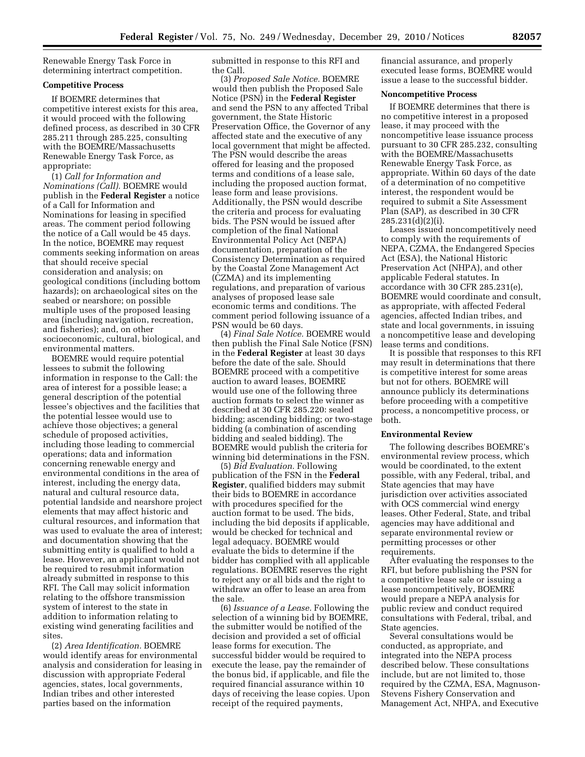Renewable Energy Task Force in determining intertract competition.

# **Competitive Process**

If BOEMRE determines that competitive interest exists for this area, it would proceed with the following defined process, as described in 30 CFR 285.211 through 285.225, consulting with the BOEMRE/Massachusetts Renewable Energy Task Force, as appropriate:

(1) *Call for Information and Nominations (Call).* BOEMRE would publish in the **Federal Register** a notice of a Call for Information and Nominations for leasing in specified areas. The comment period following the notice of a Call would be 45 days. In the notice, BOEMRE may request comments seeking information on areas that should receive special consideration and analysis; on geological conditions (including bottom hazards); on archaeological sites on the seabed or nearshore; on possible multiple uses of the proposed leasing area (including navigation, recreation, and fisheries); and, on other socioeconomic, cultural, biological, and environmental matters.

BOEMRE would require potential lessees to submit the following information in response to the Call: the area of interest for a possible lease; a general description of the potential lessee's objectives and the facilities that the potential lessee would use to achieve those objectives; a general schedule of proposed activities, including those leading to commercial operations; data and information concerning renewable energy and environmental conditions in the area of interest, including the energy data, natural and cultural resource data, potential landside and nearshore project elements that may affect historic and cultural resources, and information that was used to evaluate the area of interest; and documentation showing that the submitting entity is qualified to hold a lease. However, an applicant would not be required to resubmit information already submitted in response to this RFI. The Call may solicit information relating to the offshore transmission system of interest to the state in addition to information relating to existing wind generating facilities and sites.

(2) *Area Identification.* BOEMRE would identify areas for environmental analysis and consideration for leasing in discussion with appropriate Federal agencies, states, local governments, Indian tribes and other interested parties based on the information

submitted in response to this RFI and the Call.

(3) *Proposed Sale Notice.* BOEMRE would then publish the Proposed Sale Notice (PSN) in the **Federal Register**  and send the PSN to any affected Tribal government, the State Historic Preservation Office, the Governor of any affected state and the executive of any local government that might be affected. The PSN would describe the areas offered for leasing and the proposed terms and conditions of a lease sale, including the proposed auction format, lease form and lease provisions. Additionally, the PSN would describe the criteria and process for evaluating bids. The PSN would be issued after completion of the final National Environmental Policy Act (NEPA) documentation, preparation of the Consistency Determination as required by the Coastal Zone Management Act (CZMA) and its implementing regulations, and preparation of various analyses of proposed lease sale economic terms and conditions. The comment period following issuance of a PSN would be 60 days.

(4) *Final Sale Notice.* BOEMRE would then publish the Final Sale Notice (FSN) in the **Federal Register** at least 30 days before the date of the sale. Should BOEMRE proceed with a competitive auction to award leases, BOEMRE would use one of the following three auction formats to select the winner as described at 30 CFR 285.220: sealed bidding; ascending bidding; or two-stage bidding (a combination of ascending bidding and sealed bidding). The BOEMRE would publish the criteria for winning bid determinations in the FSN.

(5) *Bid Evaluation.* Following publication of the FSN in the **Federal Register**, qualified bidders may submit their bids to BOEMRE in accordance with procedures specified for the auction format to be used. The bids, including the bid deposits if applicable, would be checked for technical and legal adequacy. BOEMRE would evaluate the bids to determine if the bidder has complied with all applicable regulations. BOEMRE reserves the right to reject any or all bids and the right to withdraw an offer to lease an area from the sale.

(6) *Issuance of a Lease.* Following the selection of a winning bid by BOEMRE, the submitter would be notified of the decision and provided a set of official lease forms for execution. The successful bidder would be required to execute the lease, pay the remainder of the bonus bid, if applicable, and file the required financial assurance within 10 days of receiving the lease copies. Upon receipt of the required payments,

financial assurance, and properly executed lease forms, BOEMRE would issue a lease to the successful bidder.

# **Noncompetitive Process**

If BOEMRE determines that there is no competitive interest in a proposed lease, it may proceed with the noncompetitive lease issuance process pursuant to 30 CFR 285.232, consulting with the BOEMRE/Massachusetts Renewable Energy Task Force, as appropriate. Within 60 days of the date of a determination of no competitive interest, the respondent would be required to submit a Site Assessment Plan (SAP), as described in 30 CFR 285.231(d)(2)(i).

Leases issued noncompetitively need to comply with the requirements of NEPA, CZMA, the Endangered Species Act (ESA), the National Historic Preservation Act (NHPA), and other applicable Federal statutes. In accordance with 30 CFR 285.231(e), BOEMRE would coordinate and consult, as appropriate, with affected Federal agencies, affected Indian tribes, and state and local governments, in issuing a noncompetitive lease and developing lease terms and conditions.

It is possible that responses to this RFI may result in determinations that there is competitive interest for some areas but not for others. BOEMRE will announce publicly its determinations before proceeding with a competitive process, a noncompetitive process, or both.

#### **Environmental Review**

The following describes BOEMRE's environmental review process, which would be coordinated, to the extent possible, with any Federal, tribal, and State agencies that may have jurisdiction over activities associated with OCS commercial wind energy leases. Other Federal, State, and tribal agencies may have additional and separate environmental review or permitting processes or other requirements.

After evaluating the responses to the RFI, but before publishing the PSN for a competitive lease sale or issuing a lease noncompetitively, BOEMRE would prepare a NEPA analysis for public review and conduct required consultations with Federal, tribal, and State agencies.

Several consultations would be conducted, as appropriate, and integrated into the NEPA process described below. These consultations include, but are not limited to, those required by the CZMA, ESA, Magnuson-Stevens Fishery Conservation and Management Act, NHPA, and Executive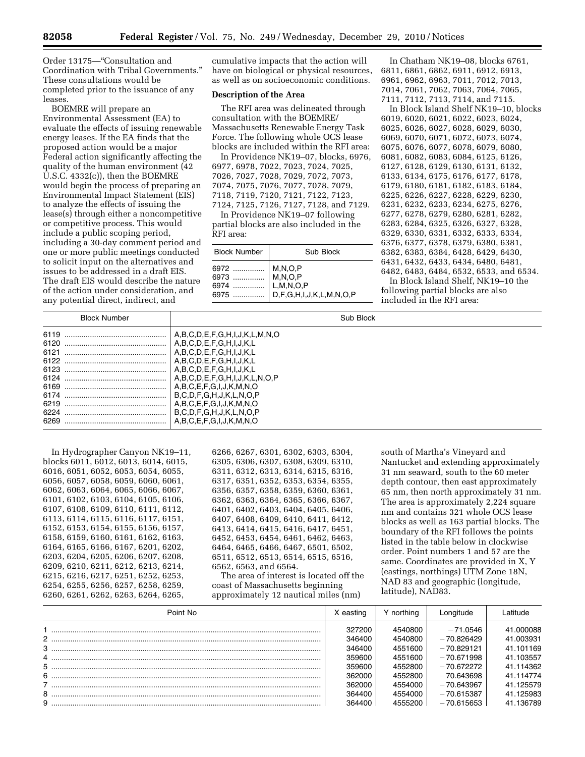Order 13175—''Consultation and Coordination with Tribal Governments.'' These consultations would be completed prior to the issuance of any leases.

BOEMRE will prepare an Environmental Assessment (EA) to evaluate the effects of issuing renewable energy leases. If the EA finds that the proposed action would be a major Federal action significantly affecting the quality of the human environment (42 U.S.C. 4332(c)), then the BOEMRE would begin the process of preparing an Environmental Impact Statement (EIS) to analyze the effects of issuing the lease(s) through either a noncompetitive or competitive process. This would include a public scoping period, including a 30-day comment period and one or more public meetings conducted to solicit input on the alternatives and issues to be addressed in a draft EIS. The draft EIS would describe the nature of the action under consideration, and any potential direct, indirect, and

cumulative impacts that the action will have on biological or physical resources, as well as on socioeconomic conditions.

#### **Description of the Area**

The RFI area was delineated through consultation with the BOEMRE/ Massachusetts Renewable Energy Task Force. The following whole OCS lease blocks are included within the RFI area:

In Providence NK19–07, blocks, 6976, 6977, 6978, 7022, 7023, 7024, 7025, 7026, 7027, 7028, 7029, 7072, 7073, 7074, 7075, 7076, 7077, 7078, 7079, 7118, 7119, 7120, 7121, 7122, 7123, 7124, 7125, 7126, 7127, 7128, and 7129.

In Providence NK19–07 following partial blocks are also included in the RFI area:

| <b>Block Number</b> | Sub Block                                                                          |
|---------------------|------------------------------------------------------------------------------------|
|                     | 6972  M,N,O,P<br>6973  M,N,O,P<br>6974  L,M,N,O,P<br>6975  D,F,G,H,I,J,K,L,M,N,O,P |

In Chatham NK19–08, blocks 6761, 6811, 6861, 6862, 6911, 6912, 6913, 6961, 6962, 6963, 7011, 7012, 7013, 7014, 7061, 7062, 7063, 7064, 7065, 7111, 7112, 7113, 7114, and 7115. In Block Island Shelf NK19–10, blocks 6019, 6020, 6021, 6022, 6023, 6024, 6025, 6026, 6027, 6028, 6029, 6030, 6069, 6070, 6071, 6072, 6073, 6074, 6075, 6076, 6077, 6078, 6079, 6080, 6081, 6082, 6083, 6084, 6125, 6126, 6127, 6128, 6129, 6130, 6131, 6132, 6133, 6134, 6175, 6176, 6177, 6178, 6179, 6180, 6181, 6182, 6183, 6184, 6225, 6226, 6227, 6228, 6229, 6230, 6231, 6232, 6233, 6234, 6275, 6276, 6277, 6278, 6279, 6280, 6281, 6282, 6283, 6284, 6325, 6326, 6327, 6328, 6329, 6330, 6331, 6332, 6333, 6334, 6376, 6377, 6378, 6379, 6380, 6381, 6382, 6383, 6384, 6428, 6429, 6430, 6431, 6432, 6433, 6434, 6480, 6481, 6482, 6483, 6484, 6532, 6533, and 6534. In Block Island Shelf, NK19–10 the following partial blocks are also

included in the RFI area:

| <b>Block Number</b>                                                  | Sub Block                                                                                                                                                                                                                                                                                                                                                                   |
|----------------------------------------------------------------------|-----------------------------------------------------------------------------------------------------------------------------------------------------------------------------------------------------------------------------------------------------------------------------------------------------------------------------------------------------------------------------|
| 6119<br>6120<br>6121<br>6123<br>6124<br>6174<br>6219<br>6224<br>6269 | A,B,C,D,E,F,G,H,I,J,K,L,M,N,O<br>A, B, C, D, E, F, G, H, I, J, K, L<br>A, B, C, D, E, F, G, H, I, J, K, L<br>A, B, C, D, E, F, G, H, I, J, K, L<br>A, B, C, D, E, F, G, H, I, J, K, L<br>A, B, C, D, E, F, G, H, I, J, K, L, N, O, P<br>A,B,C,E,F,G,I,J,K,M,N,O<br>B.C.D.F.G.H.J.K.L.N.O.P<br>A,B,C,E,F,G,I,J,K,M,N,O<br>B.C.D.F.G.H.J.K.L.N.O.P<br>A,B,C,E,F,G,I,J,K,M,N,O |

In Hydrographer Canyon NK19–11, blocks 6011, 6012, 6013, 6014, 6015, 6016, 6051, 6052, 6053, 6054, 6055, 6056, 6057, 6058, 6059, 6060, 6061, 6062, 6063, 6064, 6065, 6066, 6067, 6101, 6102, 6103, 6104, 6105, 6106, 6107, 6108, 6109, 6110, 6111, 6112, 6113, 6114, 6115, 6116, 6117, 6151, 6152, 6153, 6154, 6155, 6156, 6157, 6158, 6159, 6160, 6161, 6162, 6163, 6164, 6165, 6166, 6167, 6201, 6202, 6203, 6204, 6205, 6206, 6207, 6208, 6209, 6210, 6211, 6212, 6213, 6214, 6215, 6216, 6217, 6251, 6252, 6253, 6254, 6255, 6256, 6257, 6258, 6259, 6260, 6261, 6262, 6263, 6264, 6265,

6266, 6267, 6301, 6302, 6303, 6304, 6305, 6306, 6307, 6308, 6309, 6310, 6311, 6312, 6313, 6314, 6315, 6316, 6317, 6351, 6352, 6353, 6354, 6355, 6356, 6357, 6358, 6359, 6360, 6361, 6362, 6363, 6364, 6365, 6366, 6367, 6401, 6402, 6403, 6404, 6405, 6406, 6407, 6408, 6409, 6410, 6411, 6412, 6413, 6414, 6415, 6416, 6417, 6451, 6452, 6453, 6454, 6461, 6462, 6463, 6464, 6465, 6466, 6467, 6501, 6502, 6511, 6512, 6513, 6514, 6515, 6516, 6562, 6563, and 6564.

The area of interest is located off the coast of Massachusetts beginning approximately 12 nautical miles (nm)

south of Martha's Vineyard and Nantucket and extending approximately 31 nm seaward, south to the 60 meter depth contour, then east approximately 65 nm, then north approximately 31 nm. The area is approximately 2,224 square nm and contains 321 whole OCS lease blocks as well as 163 partial blocks. The boundary of the RFI follows the points listed in the table below in clockwise order. Point numbers 1 and 57 are the same. Coordinates are provided in X, Y (eastings, northings) UTM Zone 18N, NAD 83 and geographic (longitude, latitude), NAD83.

| Point No | X easting | Y northing | Longitude    | l atitude. |
|----------|-----------|------------|--------------|------------|
|          | 327200    | 4540800    | $-71.0546$   | 41.000088  |
|          | 346400    | 4540800    | $-70.826429$ | 41.003931  |
|          | 346400    | 4551600    | $-70.829121$ | 41.101169  |
|          | 359600    | 4551600    | $-70.671998$ | 41.103557  |
|          | 359600    | 4552800    | $-70.672272$ | 41.114362  |
|          | 362000    | 4552800    | $-70.643698$ | 41.114774  |
|          | 362000    | 4554000    | $-70.643967$ | 41.125579  |
|          | 364400    | 4554000    | $-70.615387$ | 41.125983  |
|          | 364400    | 4555200    | $-70.615653$ | 41.136789  |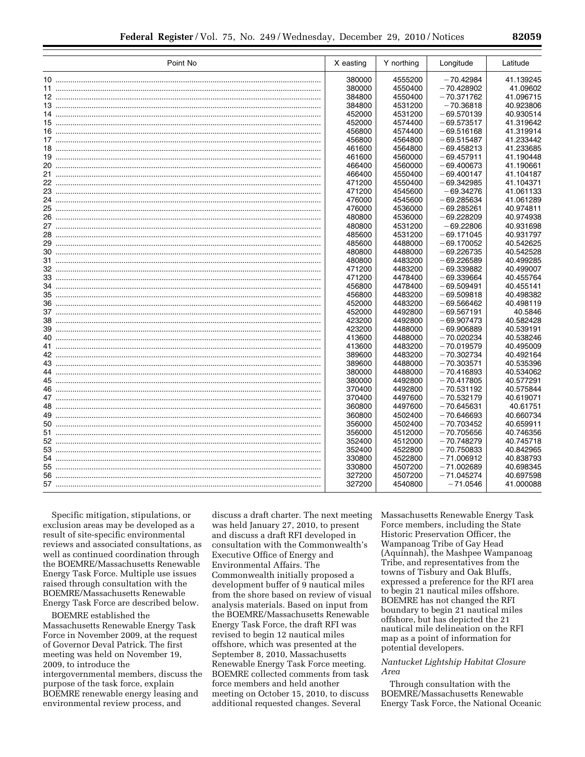| Point No | X easting | Y northing | Longitude    | Latitude  |
|----------|-----------|------------|--------------|-----------|
|          | 380000    | 4555200    | $-70.42984$  | 41.139245 |
|          | 380000    | 4550400    | $-70.428902$ | 41.09602  |
|          | 384800    | 4550400    | $-70.371762$ | 41.096715 |
|          | 384800    | 4531200    | $-70.36818$  | 40.923806 |
|          | 452000    | 4531200    | $-69.570139$ | 40.930514 |
|          | 452000    | 4574400    | $-69.573517$ | 41.319642 |
|          | 456800    | 4574400    | $-69.516168$ | 41.319914 |
|          | 456800    | 4564800    | $-69.515487$ | 41.233442 |
|          | 461600    | 4564800    | $-69.458213$ | 41.233685 |
|          | 461600    | 4560000    | $-69.457911$ | 41.190448 |
|          | 466400    | 4560000    | $-69.400673$ | 41.190661 |
|          | 466400    | 4550400    | $-69.400147$ | 41.104187 |
|          | 471200    | 4550400    | $-69.342985$ | 41.104371 |
|          | 471200    | 4545600    | $-69.34276$  | 41.061133 |
|          | 476000    | 4545600    | $-69.285634$ | 41.061289 |
|          | 476000    | 4536000    | $-69.285261$ | 40.974811 |
|          | 480800    | 4536000    | $-69.228209$ | 40.974938 |
|          | 480800    | 4531200    | $-69.22806$  | 40.931698 |
|          | 485600    | 4531200    | $-69.171045$ | 40.931797 |
|          | 485600    | 4488000    | $-69.170052$ | 40.542625 |
|          | 480800    | 4488000    | $-69.226735$ | 40.542528 |
|          | 480800    | 4483200    | $-69.226589$ | 40.499285 |
|          | 471200    | 4483200    | $-69.339882$ | 40.499007 |
|          | 471200    | 4478400    | $-69.339664$ | 40.455764 |
|          | 456800    | 4478400    | $-69.509491$ | 40.455141 |
|          | 456800    | 4483200    | $-69.509818$ | 40.498382 |
| 36       | 452000    | 4483200    | $-69.566462$ | 40.498119 |
|          | 452000    | 4492800    | $-69.567191$ | 40.5846   |
|          | 423200    | 4492800    | $-69.907473$ | 40.582428 |
|          | 423200    | 4488000    | $-69.906889$ | 40.539191 |
|          | 413600    | 4488000    | $-70.020234$ | 40.538246 |
|          | 413600    | 4483200    | $-70.019579$ | 40.495009 |
|          | 389600    | 4483200    | $-70.302734$ | 40.492164 |
|          | 389600    | 4488000    | $-70.303571$ | 40.535396 |
|          | 380000    | 4488000    | $-70.416893$ | 40.534062 |
|          | 380000    | 4492800    | $-70.417805$ | 40.577291 |
|          | 370400    | 4492800    | $-70.531192$ | 40.575844 |
|          | 370400    | 4497600    | $-70.532179$ | 40.619071 |
| 48       | 360800    | 4497600    | $-70.645631$ | 40.61751  |
|          | 360800    | 4502400    | $-70.646693$ | 40.660734 |
|          | 356000    | 4502400    | $-70.703452$ | 40.659911 |
|          | 356000    | 4512000    | $-70.705656$ | 40.746356 |
|          | 352400    | 4512000    | $-70.748279$ | 40.745718 |
|          | 352400    | 4522800    | $-70.750833$ | 40.842965 |
|          | 330800    | 4522800    | $-71.006912$ | 40.838793 |
|          | 330800    | 4507200    | $-71.002689$ | 40.698345 |
|          | 327200    | 4507200    | $-71.045274$ | 40.697598 |
|          | 327200    | 4540800    | $-71.0546$   | 41.000088 |

Specific mitigation, stipulations, or exclusion areas may be developed as a result of site-specific environmental reviews and associated consultations, as well as continued coordination through the BOEMRE/Massachusetts Renewable Energy Task Force. Multiple use issues raised through consultation with the BOEMRE/Massachusetts Renewable Energy Task Force are described below.

BOEMRE established the Massachusetts Renewable Energy Task Force in November 2009, at the request of Governor Deval Patrick. The first meeting was held on November 19, 2009, to introduce the intergovernmental members, discuss the purpose of the task force, explain BOEMRE renewable energy leasing and environmental review process, and

discuss a draft charter. The next meeting was held January 27, 2010, to present and discuss a draft RFI developed in consultation with the Commonwealth's Executive Office of Energy and Environmental Affairs. The Commonwealth initially proposed a development buffer of 9 nautical miles from the shore based on review of visual analysis materials. Based on input from the BOEMRE/Massachusetts Renewable Energy Task Force, the draft RFI was revised to begin 12 nautical miles offshore, which was presented at the September 8, 2010, Massachusetts Renewable Energy Task Force meeting. BOEMRE collected comments from task force members and held another meeting on October 15, 2010, to discuss additional requested changes. Several

Massachusetts Renewable Energy Task Force members, including the State Historic Preservation Officer, the Wampanoag Tribe of Gay Head (Aquinnah), the Mashpee Wampanoag Tribe, and representatives from the towns of Tisbury and Oak Bluffs, expressed a preference for the RFI area to begin 21 nautical miles offshore. BOEMRE has not changed the RFI boundary to begin 21 nautical miles offshore, but has depicted the 21 nautical mile delineation on the RFI map as a point of information for potential developers.

#### *Nantucket Lightship Habitat Closure Area*

Through consultation with the BOEMRE/Massachusetts Renewable Energy Task Force, the National Oceanic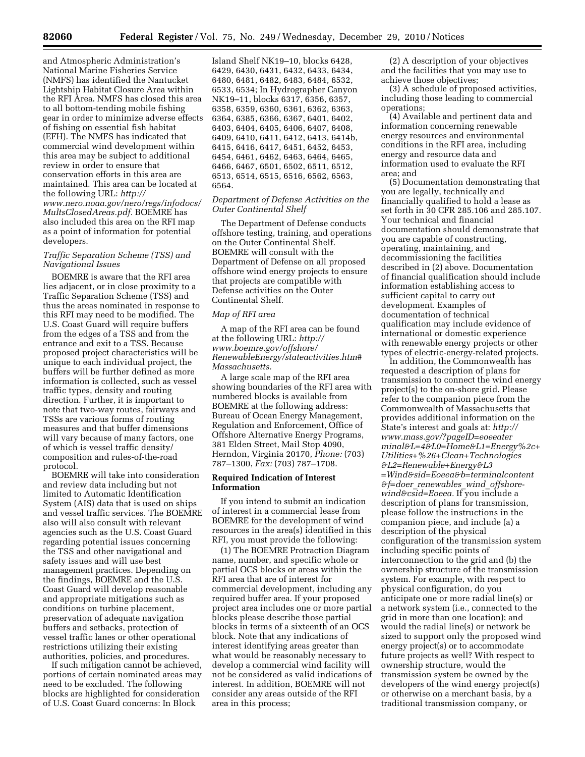and Atmospheric Administration's National Marine Fisheries Service (NMFS) has identified the Nantucket Lightship Habitat Closure Area within the RFI Area. NMFS has closed this area to all bottom-tending mobile fishing gear in order to minimize adverse effects of fishing on essential fish habitat (EFH). The NMFS has indicated that commercial wind development within this area may be subject to additional review in order to ensure that conservation efforts in this area are maintained. This area can be located at the following URL: *[http://](http://www.nero.noaa.gov/nero/regs/infodocs/MultsClosedAreas.pdf) [www.nero.noaa.gov/nero/regs/infodocs/](http://www.nero.noaa.gov/nero/regs/infodocs/MultsClosedAreas.pdf)  [MultsClosedAreas.pdf.](http://www.nero.noaa.gov/nero/regs/infodocs/MultsClosedAreas.pdf)* BOEMRE has also included this area on the RFI map as a point of information for potential developers.

### *Traffic Separation Scheme (TSS) and Navigational Issues*

BOEMRE is aware that the RFI area lies adjacent, or in close proximity to a Traffic Separation Scheme (TSS) and thus the areas nominated in response to this RFI may need to be modified. The U.S. Coast Guard will require buffers from the edges of a TSS and from the entrance and exit to a TSS. Because proposed project characteristics will be unique to each individual project, the buffers will be further defined as more information is collected, such as vessel traffic types, density and routing direction. Further, it is important to note that two-way routes, fairways and TSSs are various forms of routing measures and that buffer dimensions will vary because of many factors, one of which is vessel traffic density/ composition and rules-of-the-road protocol.

BOEMRE will take into consideration and review data including but not limited to Automatic Identification System (AIS) data that is used on ships and vessel traffic services. The BOEMRE also will also consult with relevant agencies such as the U.S. Coast Guard regarding potential issues concerning the TSS and other navigational and safety issues and will use best management practices. Depending on the findings, BOEMRE and the U.S. Coast Guard will develop reasonable and appropriate mitigations such as conditions on turbine placement, preservation of adequate navigation buffers and setbacks, protection of vessel traffic lanes or other operational restrictions utilizing their existing authorities, policies, and procedures.

If such mitigation cannot be achieved, portions of certain nominated areas may need to be excluded. The following blocks are highlighted for consideration of U.S. Coast Guard concerns: In Block

```
Island Shelf NK19–10, blocks 6428, 
6429, 6430, 6431, 6432, 6433, 6434, 
6480, 6481, 6482, 6483, 6484, 6532, 
6533, 6534; In Hydrographer Canyon 
NK19–11, blocks 6317, 6356, 6357, 
6358, 6359, 6360, 6361, 6362, 6363, 
6364, 6385, 6366, 6367, 6401, 6402, 
6403, 6404, 6405, 6406, 6407, 6408, 
6409, 6410, 6411, 6412, 6413, 6414b, 
6415, 6416, 6417, 6451, 6452, 6453, 
6454, 6461, 6462, 6463, 6464, 6465, 
6466, 6467, 6501, 6502, 6511, 6512, 
6513, 6514, 6515, 6516, 6562, 6563, 
6564.
```
#### *Department of Defense Activities on the Outer Continental Shelf*

The Department of Defense conducts offshore testing, training, and operations on the Outer Continental Shelf. BOEMRE will consult with the Department of Defense on all proposed offshore wind energy projects to ensure that projects are compatible with Defense activities on the Outer Continental Shelf.

#### *Map of RFI area*

A map of the RFI area can be found at the following URL: *[http://](http://www.boemre.gov/offshore/RenewableEnergy/stateactivities.htm#Massachusetts) [www.boemre.gov/offshore/](http://www.boemre.gov/offshore/RenewableEnergy/stateactivities.htm#Massachusetts) [RenewableEnergy/stateactivities.htm#](http://www.boemre.gov/offshore/RenewableEnergy/stateactivities.htm#Massachusetts) [Massachusetts.](http://www.boemre.gov/offshore/RenewableEnergy/stateactivities.htm#Massachusetts)* 

A large scale map of the RFI area showing boundaries of the RFI area with numbered blocks is available from BOEMRE at the following address: Bureau of Ocean Energy Management, Regulation and Enforcement, Office of Offshore Alternative Energy Programs, 381 Elden Street, Mail Stop 4090, Herndon, Virginia 20170, *Phone:* (703) 787–1300, *Fax:* (703) 787–1708.

#### **Required Indication of Interest Information**

If you intend to submit an indication of interest in a commercial lease from BOEMRE for the development of wind resources in the area(s) identified in this RFI, you must provide the following:

(1) The BOEMRE Protraction Diagram name, number, and specific whole or partial OCS blocks or areas within the RFI area that are of interest for commercial development, including any required buffer area. If your proposed project area includes one or more partial blocks please describe those partial blocks in terms of a sixteenth of an OCS block. Note that any indications of interest identifying areas greater than what would be reasonably necessary to develop a commercial wind facility will not be considered as valid indications of interest. In addition, BOEMRE will not consider any areas outside of the RFI area in this process;

(2) A description of your objectives and the facilities that you may use to achieve those objectives;

(3) A schedule of proposed activities, including those leading to commercial operations;

(4) Available and pertinent data and information concerning renewable energy resources and environmental conditions in the RFI area, including energy and resource data and information used to evaluate the RFI area; and

(5) Documentation demonstrating that you are legally, technically and financially qualified to hold a lease as set forth in 30 CFR 285.106 and 285.107. Your technical and financial documentation should demonstrate that you are capable of constructing, operating, maintaining, and decommissioning the facilities described in (2) above. Documentation of financial qualification should include information establishing access to sufficient capital to carry out development. Examples of documentation of technical qualification may include evidence of international or domestic experience with renewable energy projects or other types of electric-energy-related projects.

In addition, the Commonwealth has requested a description of plans for transmission to connect the wind energy project(s) to the on-shore grid. Please refer to the companion piece from the Commonwealth of Massachusetts that provides additional information on the State's interest and goals at: *[http://](http://www.mass.gov/?pageID=eoeeaterminal&L=4&L0=Home&L1=Energy%2c+Utilities+%26+Clean+Technologies&L2=Renewable+Energy&L3=Wind&sid=Eoeea&b=terminalcontent&f=doer_renewables_wind_offshore-wind&csid=Eoeea) [www.mass.gov/?pageID=eoeeater](http://www.mass.gov/?pageID=eoeeaterminal&L=4&L0=Home&L1=Energy%2c+Utilities+%26+Clean+Technologies&L2=Renewable+Energy&L3=Wind&sid=Eoeea&b=terminalcontent&f=doer_renewables_wind_offshore-wind&csid=Eoeea) [minal&L=4&L0=Home&L1=Energy%2c+](http://www.mass.gov/?pageID=eoeeaterminal&L=4&L0=Home&L1=Energy%2c+Utilities+%26+Clean+Technologies&L2=Renewable+Energy&L3=Wind&sid=Eoeea&b=terminalcontent&f=doer_renewables_wind_offshore-wind&csid=Eoeea) [Utilities+%26+Clean+Technologies](http://www.mass.gov/?pageID=eoeeaterminal&L=4&L0=Home&L1=Energy%2c+Utilities+%26+Clean+Technologies&L2=Renewable+Energy&L3=Wind&sid=Eoeea&b=terminalcontent&f=doer_renewables_wind_offshore-wind&csid=Eoeea) [&L2=Renewable+Energy&L3](http://www.mass.gov/?pageID=eoeeaterminal&L=4&L0=Home&L1=Energy%2c+Utilities+%26+Clean+Technologies&L2=Renewable+Energy&L3=Wind&sid=Eoeea&b=terminalcontent&f=doer_renewables_wind_offshore-wind&csid=Eoeea) [=Wind&sid=Eoeea&b=terminalcontent](http://www.mass.gov/?pageID=eoeeaterminal&L=4&L0=Home&L1=Energy%2c+Utilities+%26+Clean+Technologies&L2=Renewable+Energy&L3=Wind&sid=Eoeea&b=terminalcontent&f=doer_renewables_wind_offshore-wind&csid=Eoeea) &f=doer*\_*[renewables](http://www.mass.gov/?pageID=eoeeaterminal&L=4&L0=Home&L1=Energy%2c+Utilities+%26+Clean+Technologies&L2=Renewable+Energy&L3=Wind&sid=Eoeea&b=terminalcontent&f=doer_renewables_wind_offshore-wind&csid=Eoeea)*\_*wind*\_*offshore[wind&csid=Eoeea.](http://www.mass.gov/?pageID=eoeeaterminal&L=4&L0=Home&L1=Energy%2c+Utilities+%26+Clean+Technologies&L2=Renewable+Energy&L3=Wind&sid=Eoeea&b=terminalcontent&f=doer_renewables_wind_offshore-wind&csid=Eoeea)* If you include a description of plans for transmission, please follow the instructions in the companion piece, and include (a) a description of the physical configuration of the transmission system including specific points of interconnection to the grid and (b) the ownership structure of the transmission system. For example, with respect to physical configuration, do you anticipate one or more radial line(s) or a network system (i.e., connected to the grid in more than one location); and would the radial line(s) or network be sized to support only the proposed wind energy project(s) or to accommodate future projects as well? With respect to ownership structure, would the transmission system be owned by the developers of the wind energy project(s) or otherwise on a merchant basis, by a traditional transmission company, or